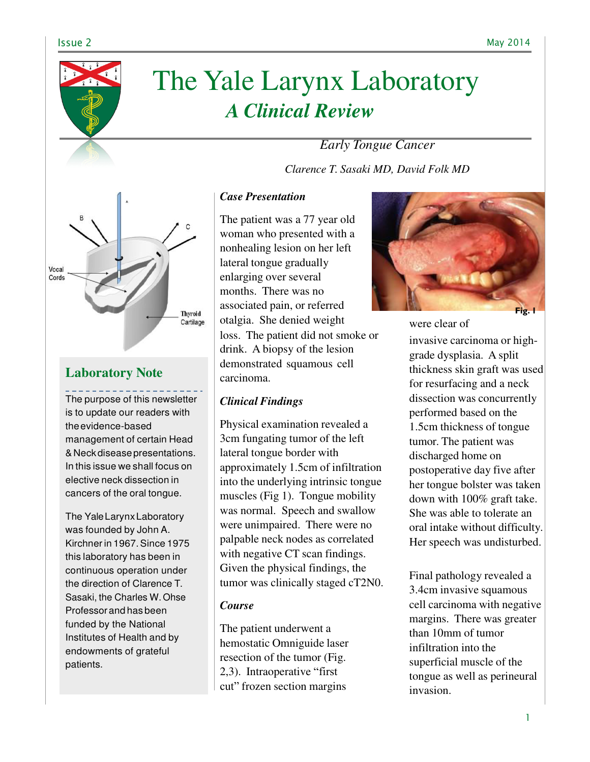

# The Yale Larynx Laboratory *A Clinical Review*

*Early Tongue Cancer*

*Clarence T. Sasaki MD, David Folk MD*



# **Laboratory Note**

The purpose of this newsletter is to update our readers with the evidence-based management of certain Head & Neck disease presentations. In this issue we shall focus on elective neck dissection in cancers of the oral tongue.

The Yale Larynx Laboratory was founded by John A. Kirchner in 1967. Since 1975 this laboratory has been in continuous operation under the direction of Clarence T. Sasaki, the Charles W. Ohse Professor and has been funded by the National Institutes of Health and by endowments of grateful patients.

## *Case Presentation*

The patient was a 77 year old woman who presented with a nonhealing lesion on her left lateral tongue gradually enlarging over several months. There was no associated pain, or referred otalgia. She denied weight were clear of loss. The patient did not smoke or drink. A biopsy of the lesion demonstrated squamous cell carcinoma.

## *Clinical Findings*

Physical examination revealed a 3cm fungating tumor of the left lateral tongue border with approximately 1.5cm of infiltration into the underlying intrinsic tongue muscles (Fig 1). Tongue mobility was normal. Speech and swallow were unimpaired. There were no palpable neck nodes as correlated with negative CT scan findings. Given the physical findings, the tumor was clinically staged cT2N0.

## *Course*

The patient underwent a hemostatic Omniguide laser resection of the tumor (Fig. 2,3). Intraoperative "first cut" frozen section margins



invasive carcinoma or highgrade dysplasia. A split thickness skin graft was used for resurfacing and a neck dissection was concurrently performed based on the 1.5cm thickness of tongue tumor. The patient was discharged home on postoperative day five after her tongue bolster was taken down with 100% graft take. She was able to tolerate an oral intake without difficulty. Her speech was undisturbed.

Final pathology revealed a 3.4cm invasive squamous cell carcinoma with negative margins. There was greater than 10mm of tumor infiltration into the superficial muscle of the tongue as well as perineural invasion.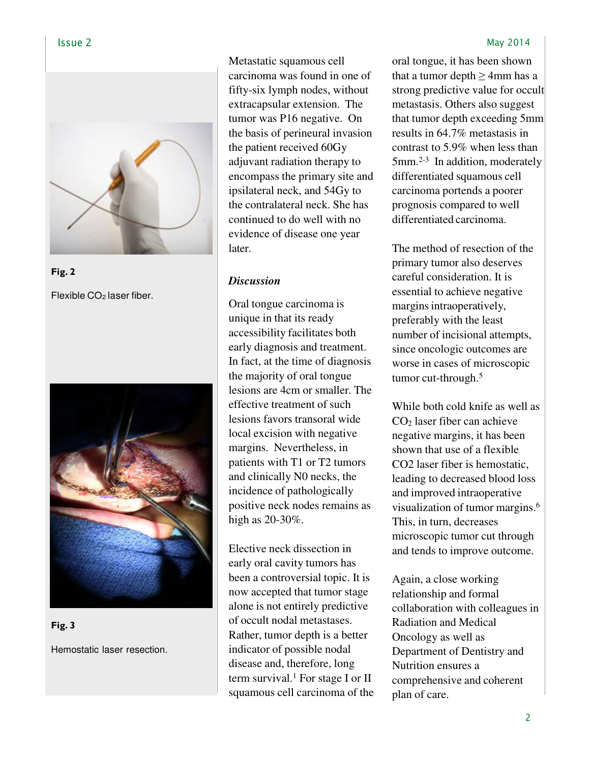

**Fig. 2** Flexible CO<sub>2</sub> laser fiber.



**Fig. 3**

Hemostatic laser resection.

Metastatic squamous cell carcinoma was found in one of fifty-six lymph nodes, without extracapsular extension. The tumor was P16 negative. On the basis of perineural invasion the patient received 60Gy adjuvant radiation therapy to encompass the primary site and ipsilateral neck, and 54Gy to the contralateral neck. She has continued to do well with no evidence of disease one year later.

### *Discussion*

Oral tongue carcinoma is unique in that its ready accessibility facilitates both early diagnosis and treatment. In fact, at the time of diagnosis the majority of oral tongue lesions are 4cm or smaller. The effective treatment of such lesions favors transoral wide local excision with negative margins. Nevertheless, in patients with T1 or T2 tumors and clinically N0 necks, the incidence of pathologically positive neck nodes remains as high as 20-30%.

Elective neck dissection in early oral cavity tumors has been a controversial topic. It is now accepted that tumor stage alone is not entirely predictive of occult nodal metastases. Rather, tumor depth is a better indicator of possible nodal disease and, therefore, long term survival.<sup>1</sup> For stage I or II squamous cell carcinoma of the

#### Issue 2 May 2014

oral tongue, it has been shown that a tumor depth  $\geq$  4mm has a strong predictive value for occult metastasis. Others also suggest that tumor depth exceeding 5mm results in 64.7% metastasis in contrast to 5.9% when less than 5mm.2-3 In addition, moderately differentiated squamous cell carcinoma portends a poorer prognosis compared to well differentiated carcinoma.

The method of resection of the primary tumor also deserves careful consideration. It is essential to achieve negative margins intraoperatively, preferably with the least number of incisional attempts, since oncologic outcomes are worse in cases of microscopic tumor cut-through.<sup>5</sup>

While both cold knife as well as CO2 laser fiber can achieve negative margins, it has been shown that use of a flexible CO2 laser fiber is hemostatic, leading to decreased blood loss and improved intraoperative visualization of tumor margins.<sup>6</sup> This, in turn, decreases microscopic tumor cut through and tends to improve outcome.

Again, a close working relationship and formal collaboration with colleagues in Radiation and Medical Oncology as well as Department of Dentistry and Nutrition ensures a comprehensive and coherent plan of care.